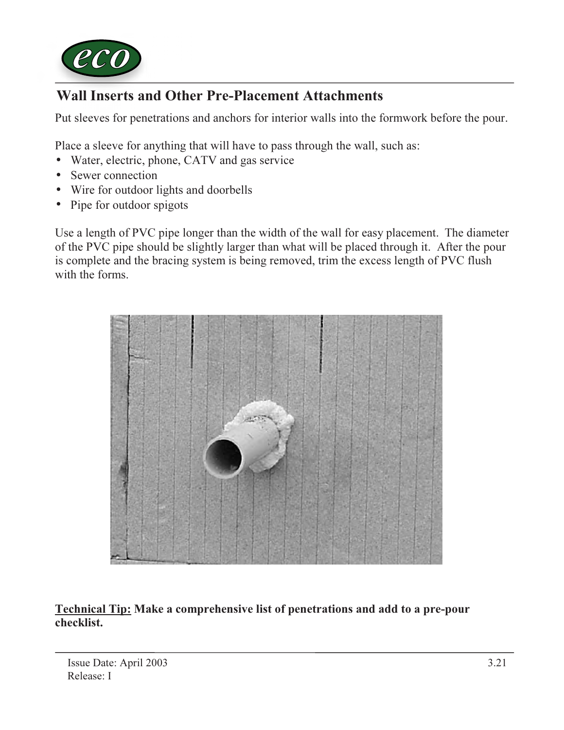

# Wall Inserts and Other Pre-Placement Attachments

Put sleeves for penetrations and anchors for interior walls into the formwork before the pour.

Place a sleeve for anything that will have to pass through the wall, such as:

- Water, electric, phone, CATV and gas service
- Sewer connection
- Wire for outdoor lights and doorbells
- Pipe for outdoor spigots

Use a length of PVC pipe longer than the width of the wall for easy placement. The diameter of the PVC pipe should be slightly larger than what will be placed through it. After the pour is complete and the bracing system is being removed, trim the excess length of PVC flush with the forms.



Technical Tip: Make a comprehensive list of penetrations and add to a pre-pour checklist.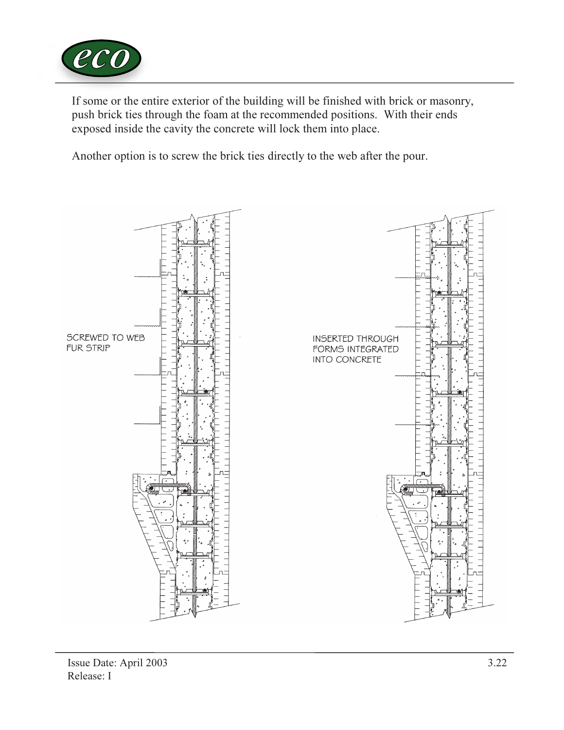

If some or the entire exterior of the building will be finished with brick or masonry, push brick ties through the foam at the recommended positions. With their ends exposed inside the cavity the concrete will lock them into place.

Another option is to screw the brick ties directly to the web after the pour.

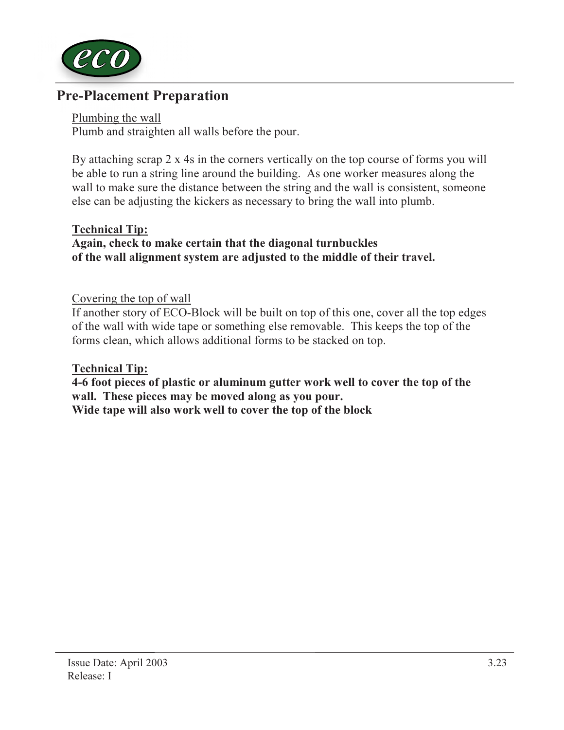

# Pre-Placement Preparation

Plumbing the wall Plumb and straighten all walls before the pour.

By attaching scrap 2 x 4s in the corners vertically on the top course of forms you will be able to run a string line around the building. As one worker measures along the wall to make sure the distance between the string and the wall is consistent, someone else can be adjusting the kickers as necessary to bring the wall into plumb.

### Technical Tip:

## Again, check to make certain that the diagonal turnbuckles of the wall alignment system are adjusted to the middle of their travel.

### Covering the top of wall

If another story of ECO-Block will be built on top of this one, cover all the top edges of the wall with wide tape or something else removable. This keeps the top of the forms clean, which allows additional forms to be stacked on top.

### Technical Tip:

4-6 foot pieces of plastic or aluminum gutter work well to cover the top of the wall. These pieces may be moved along as you pour. Wide tape will also work well to cover the top of the block